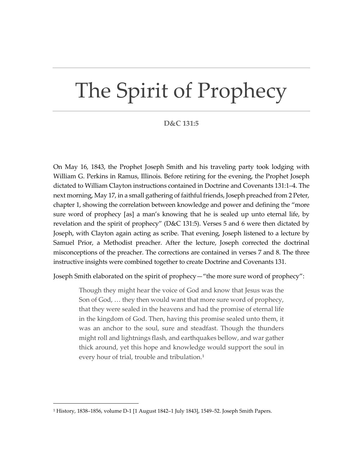## The Spirit of Prophecy

## **D&C 131:5**

On May 16, 1843, the Prophet Joseph Smith and his traveling party took lodging with William G. Perkins in Ramus, Illinois. Before retiring for the evening, the Prophet Joseph dictated to William Clayton instructions contained in Doctrine and Covenants 131:1–4. The next morning, May 17, in a small gathering of faithful friends, Joseph preached from 2 Peter, chapter 1, showing the correlation between knowledge and power and defining the "more sure word of prophecy [as] a man's knowing that he is sealed up unto eternal life, by revelation and the spirit of prophecy" (D&C 131:5). Verses 5 and 6 were then dictated by Joseph, with Clayton again acting as scribe. That evening, Joseph listened to a lecture by Samuel Prior, a Methodist preacher. After the lecture, Joseph corrected the doctrinal misconceptions of the preacher. The corrections are contained in verses 7 and 8. The three instructive insights were combined together to create Doctrine and Covenants 131.

Joseph Smith elaborated on the spirit of prophecy—"the more sure word of prophecy":

Though they might hear the voice of God and know that Jesus was the Son of God, … they then would want that more sure word of prophecy, that they were sealed in the heavens and had the promise of eternal life in the kingdom of God. Then, having this promise sealed unto them, it was an anchor to the soul, sure and steadfast. Though the thunders might roll and lightnings flash, and earthquakes bellow, and war gather thick around, yet this hope and knowledge would support the soul in every hour of trial, trouble and tribulation.<sup>[1](#page-0-0)</sup>

<span id="page-0-0"></span><sup>1</sup> History, 1838–1856, volume D-1 [1 August 1842–1 July 1843], 1549–52. Joseph Smith Papers.